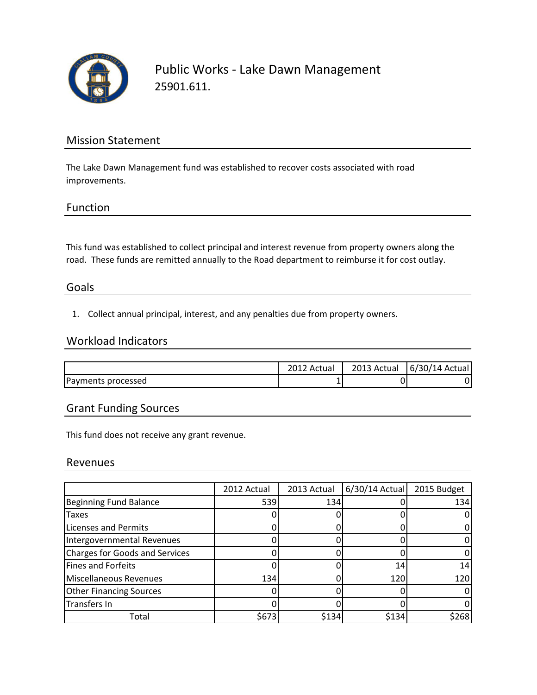

Public Works - Lake Dawn Management 25901.611.

### Mission Statement

The Lake Dawn Management fund was established to recover costs associated with road improvements.

#### Function

This fund was established to collect principal and interest revenue from property owners along the road. These funds are remitted annually to the Road department to reimburse it for cost outlay.

#### Goals

1. Collect annual principal, interest, and any penalties due from property owners.

## Workload Indicators

|                    | Actual | 2013 Actual | 6/30/14 Actual |
|--------------------|--------|-------------|----------------|
| Payments processed | -      |             | N              |

## Grant Funding Sources

This fund does not receive any grant revenue.

#### Revenues

|                                       | 2012 Actual | 2013 Actual | $6/30/14$ Actual | 2015 Budget |
|---------------------------------------|-------------|-------------|------------------|-------------|
| <b>Beginning Fund Balance</b>         | 539         | 134         |                  | 134         |
| <b>Taxes</b>                          |             |             |                  |             |
| <b>Licenses and Permits</b>           |             |             |                  |             |
| Intergovernmental Revenues            |             |             |                  |             |
| <b>Charges for Goods and Services</b> |             |             |                  |             |
| <b>Fines and Forfeits</b>             |             |             | 14               |             |
| Miscellaneous Revenues                | 134         |             | 12 <sub>C</sub>  | 120         |
| <b>Other Financing Sources</b>        |             |             |                  |             |
| Transfers In                          |             |             |                  |             |
| Total                                 | \$673       | \$134       | \$134            | \$268       |